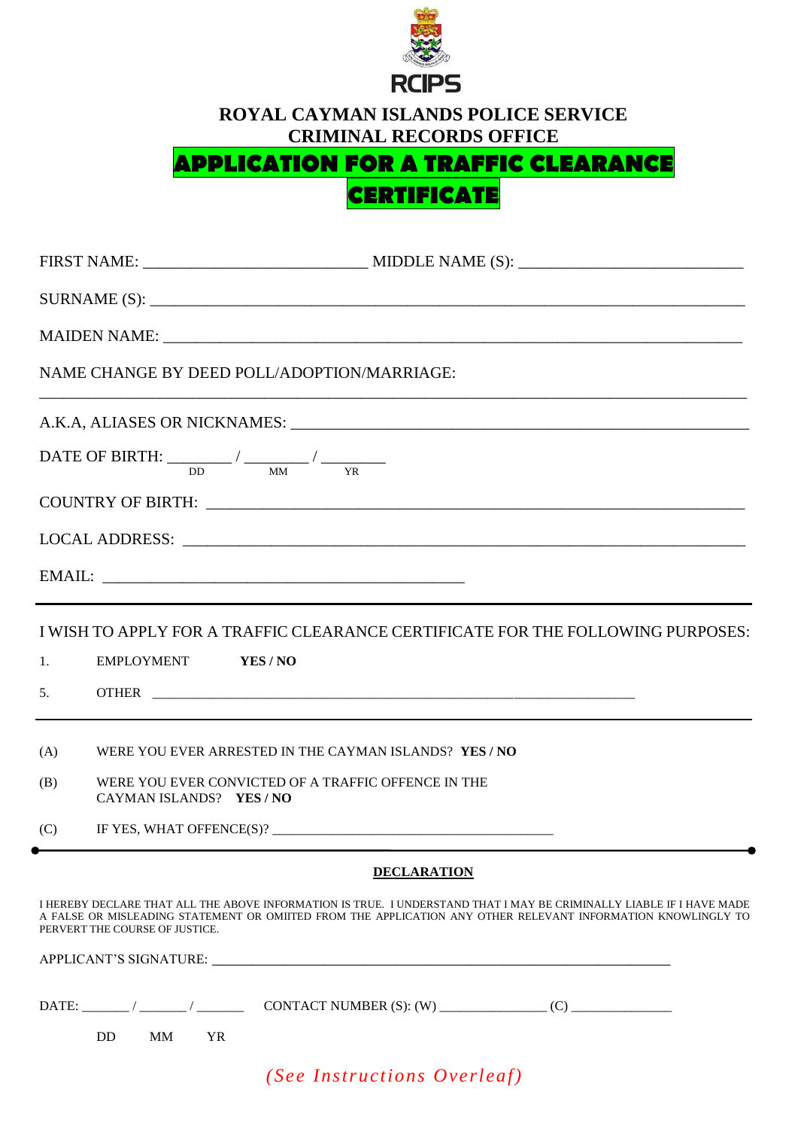

**ROYAL CAYMAN ISLANDS POLICE SERVICE CRIMINAL RECORDS OFFICE**

## **APPLICATION FOR A TRAFFIC CLEARANCE**

**CERTIFICATE**

|     | NAME CHANGE BY DEED POLL/ADOPTION/MARRIAGE:<br>DATE OF BIRTH: $\frac{1}{\text{DD}}$ / $\frac{1}{\text{MM}}$ / $\frac{1}{\text{YR}}$<br>I WISH TO APPLY FOR A TRAFFIC CLEARANCE CERTIFICATE FOR THE FOLLOWING PURPOSES:<br>EMPLOYMENT<br>YES / NO<br>WERE YOU EVER ARRESTED IN THE CAYMAN ISLANDS? YES / NO<br>WERE YOU EVER CONVICTED OF A TRAFFIC OFFENCE IN THE<br>CAYMAN ISLANDS? YES / NO<br><b>DECLARATION</b><br>I HEREBY DECLARE THAT ALL THE ABOVE INFORMATION IS TRUE. I UNDERSTAND THAT I MAY BE CRIMINALLY LIABLE IF I HAVE MADE<br>A FALSE OR MISLEADING STATEMENT OR OMIITED FROM THE APPLICATION ANY OTHER RELEVANT INFORMATION KNOWLINGLY TO<br>PERVERT THE COURSE OF JUSTICE.<br><b>DD</b><br>MM<br><b>YR</b> |
|-----|-------------------------------------------------------------------------------------------------------------------------------------------------------------------------------------------------------------------------------------------------------------------------------------------------------------------------------------------------------------------------------------------------------------------------------------------------------------------------------------------------------------------------------------------------------------------------------------------------------------------------------------------------------------------------------------------------------------------------------|
|     |                                                                                                                                                                                                                                                                                                                                                                                                                                                                                                                                                                                                                                                                                                                               |
|     |                                                                                                                                                                                                                                                                                                                                                                                                                                                                                                                                                                                                                                                                                                                               |
|     |                                                                                                                                                                                                                                                                                                                                                                                                                                                                                                                                                                                                                                                                                                                               |
|     |                                                                                                                                                                                                                                                                                                                                                                                                                                                                                                                                                                                                                                                                                                                               |
|     |                                                                                                                                                                                                                                                                                                                                                                                                                                                                                                                                                                                                                                                                                                                               |
|     |                                                                                                                                                                                                                                                                                                                                                                                                                                                                                                                                                                                                                                                                                                                               |
|     |                                                                                                                                                                                                                                                                                                                                                                                                                                                                                                                                                                                                                                                                                                                               |
| 1.  |                                                                                                                                                                                                                                                                                                                                                                                                                                                                                                                                                                                                                                                                                                                               |
| 5.  |                                                                                                                                                                                                                                                                                                                                                                                                                                                                                                                                                                                                                                                                                                                               |
| (A) |                                                                                                                                                                                                                                                                                                                                                                                                                                                                                                                                                                                                                                                                                                                               |
| (B) |                                                                                                                                                                                                                                                                                                                                                                                                                                                                                                                                                                                                                                                                                                                               |
| (C) |                                                                                                                                                                                                                                                                                                                                                                                                                                                                                                                                                                                                                                                                                                                               |
|     |                                                                                                                                                                                                                                                                                                                                                                                                                                                                                                                                                                                                                                                                                                                               |
|     |                                                                                                                                                                                                                                                                                                                                                                                                                                                                                                                                                                                                                                                                                                                               |
|     |                                                                                                                                                                                                                                                                                                                                                                                                                                                                                                                                                                                                                                                                                                                               |
|     |                                                                                                                                                                                                                                                                                                                                                                                                                                                                                                                                                                                                                                                                                                                               |
|     |                                                                                                                                                                                                                                                                                                                                                                                                                                                                                                                                                                                                                                                                                                                               |
|     | (See Instructions Overleaf)                                                                                                                                                                                                                                                                                                                                                                                                                                                                                                                                                                                                                                                                                                   |